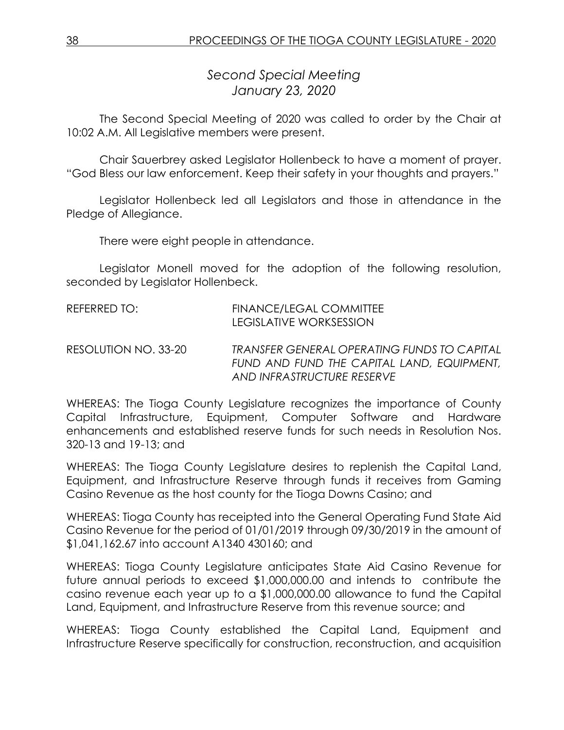*Second Special Meeting January 23, 2020*

The Second Special Meeting of 2020 was called to order by the Chair at 10:02 A.M. All Legislative members were present.

Chair Sauerbrey asked Legislator Hollenbeck to have a moment of prayer. "God Bless our law enforcement. Keep their safety in your thoughts and prayers."

Legislator Hollenbeck led all Legislators and those in attendance in the Pledge of Allegiance.

There were eight people in attendance.

Legislator Monell moved for the adoption of the following resolution, seconded by Legislator Hollenbeck.

| REFERRED TO:         | FINANCE/LEGAL COMMITTEE<br>LEGISLATIVE WORKSESSION                                                                      |
|----------------------|-------------------------------------------------------------------------------------------------------------------------|
| RESOLUTION NO. 33-20 | TRANSFER GENERAL OPERATING FUNDS TO CAPITAL<br>FUND AND FUND THE CAPITAL LAND, EQUIPMENT,<br>AND INFRASTRUCTURE RESERVE |

WHEREAS: The Tioga County Legislature recognizes the importance of County Capital Infrastructure, Equipment, Computer Software and Hardware enhancements and established reserve funds for such needs in Resolution Nos. 320-13 and 19-13; and

WHEREAS: The Tioga County Legislature desires to replenish the Capital Land, Equipment, and Infrastructure Reserve through funds it receives from Gaming Casino Revenue as the host county for the Tioga Downs Casino; and

WHEREAS: Tioga County has receipted into the General Operating Fund State Aid Casino Revenue for the period of 01/01/2019 through 09/30/2019 in the amount of \$1,041,162.67 into account A1340 430160; and

WHEREAS: Tioga County Legislature anticipates State Aid Casino Revenue for future annual periods to exceed \$1,000,000.00 and intends to contribute the casino revenue each year up to a \$1,000,000.00 allowance to fund the Capital Land, Equipment, and Infrastructure Reserve from this revenue source; and

WHEREAS: Tioga County established the Capital Land, Equipment and Infrastructure Reserve specifically for construction, reconstruction, and acquisition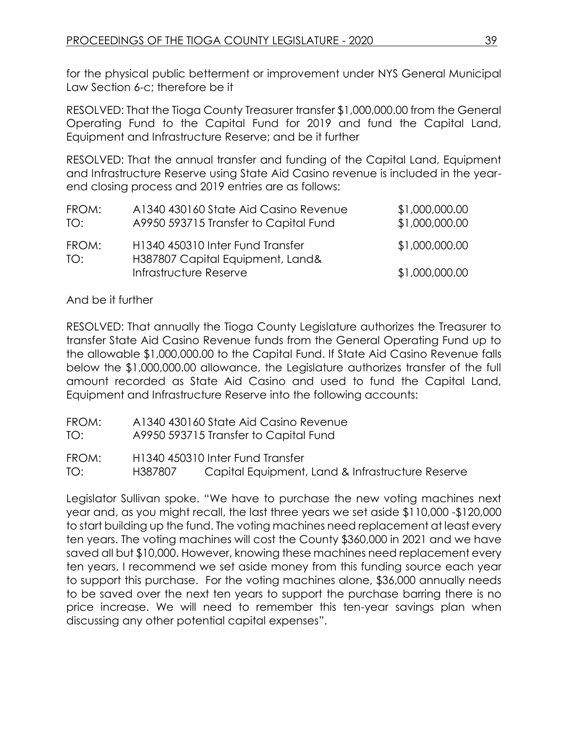for the physical public betterment or improvement under NYS General Municipal Law Section 6-c; therefore be it

RESOLVED: That the Tioga County Treasurer transfer \$1,000,000.00 from the General Operating Fund to the Capital Fund for 2019 and fund the Capital Land, Equipment and Infrastructure Reserve; and be it further

RESOLVED: That the annual transfer and funding of the Capital Land, Equipment and Infrastructure Reserve using State Aid Casino revenue is included in the yearend closing process and 2019 entries are as follows:

| FROM:<br>TO: | A1340 430160 State Aid Casino Revenue<br>A9950 593715 Transfer to Capital Fund | \$1,000,000.00<br>\$1,000,000.00 |
|--------------|--------------------------------------------------------------------------------|----------------------------------|
| FROM:<br>TO: | H1340 450310 Inter Fund Transfer<br>H387807 Capital Equipment, Land&           | \$1,000,000.00                   |
|              | Infrastructure Reserve                                                         | \$1,000,000.00                   |

## And be it further

RESOLVED: That annually the Tioga County Legislature authorizes the Treasurer to transfer State Aid Casino Revenue funds from the General Operating Fund up to the allowable \$1,000,000.00 to the Capital Fund. If State Aid Casino Revenue falls below the \$1,000,000.00 allowance, the Legislature authorizes transfer of the full amount recorded as State Aid Casino and used to fund the Capital Land, Equipment and Infrastructure Reserve into the following accounts:

- FROM: A1340 430160 State Aid Casino Revenue
- TO: A9950 593715 Transfer to Capital Fund
- FROM: H1340 450310 Inter Fund Transfer

TO: H387807 Capital Equipment, Land & Infrastructure Reserve

Legislator Sullivan spoke. "We have to purchase the new voting machines next year and, as you might recall, the last three years we set aside \$110,000 -\$120,000 to start building up the fund. The voting machines need replacement at least every ten years. The voting machines will cost the County \$360,000 in 2021 and we have saved all but \$10,000. However, knowing these machines need replacement every ten years, I recommend we set aside money from this funding source each year to support this purchase. For the voting machines alone, \$36,000 annually needs to be saved over the next ten years to support the purchase barring there is no price increase. We will need to remember this ten-year savings plan when discussing any other potential capital expenses".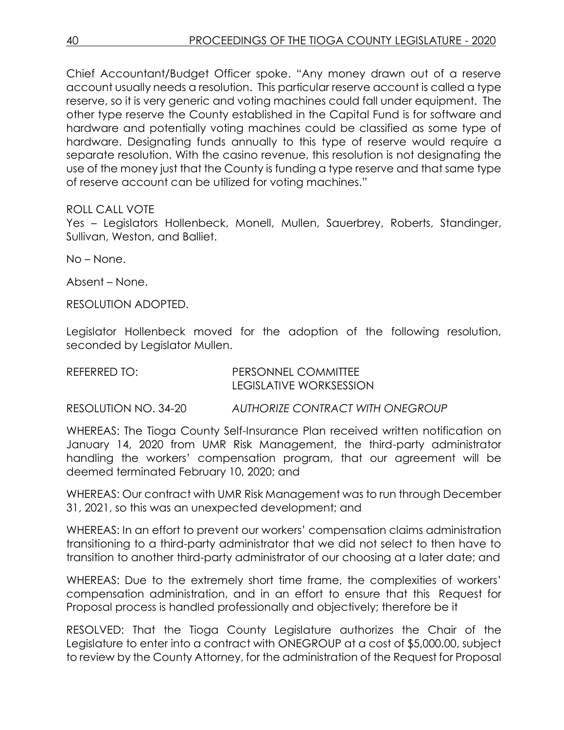Chief Accountant/Budget Officer spoke. "Any money drawn out of a reserve account usually needs a resolution. This particular reserve account is called a type reserve, so it is very generic and voting machines could fall under equipment. The other type reserve the County established in the Capital Fund is for software and hardware and potentially voting machines could be classified as some type of hardware. Designating funds annually to this type of reserve would require a separate resolution. With the casino revenue, this resolution is not designating the use of the money just that the County is funding a type reserve and that same type of reserve account can be utilized for voting machines."

## ROLL CALL VOTE

Yes – Legislators Hollenbeck, Monell, Mullen, Sauerbrey, Roberts, Standinger, Sullivan, Weston, and Balliet.

No – None.

Absent – None.

RESOLUTION ADOPTED.

Legislator Hollenbeck moved for the adoption of the following resolution, seconded by Leaislator Mullen.

| REFERRED TO: | <b>PERSONNEL COMMITTEE</b>     |
|--------------|--------------------------------|
|              | <b>LEGISLATIVE WORKSESSION</b> |

RESOLUTION NO. 34-20 *AUTHORIZE CONTRACT WITH ONEGROUP*

WHEREAS: The Tioga County Self-Insurance Plan received written notification on January 14, 2020 from UMR Risk Management, the third-party administrator handling the workers' compensation program, that our agreement will be deemed terminated February 10, 2020; and

WHEREAS: Our contract with UMR Risk Management was to run through December 31, 2021, so this was an unexpected development; and

WHEREAS: In an effort to prevent our workers' compensation claims administration transitioning to a third-party administrator that we did not select to then have to transition to another third-party administrator of our choosing at a later date; and

WHEREAS: Due to the extremely short time frame, the complexities of workers' compensation administration, and in an effort to ensure that this Request for Proposal process is handled professionally and objectively; therefore be it

RESOLVED: That the Tioga County Legislature authorizes the Chair of the Legislature to enter into a contract with ONEGROUP at a cost of \$5,000.00, subject to review by the County Attorney, for the administration of the Request for Proposal